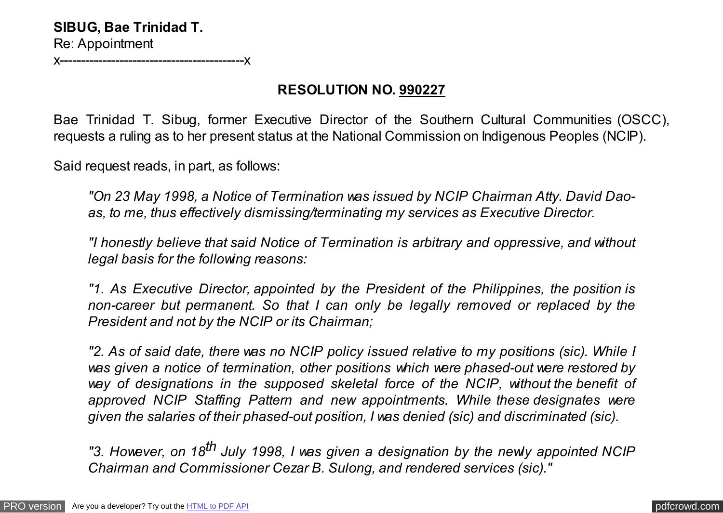x-------------------------------------------x

## **RESOLUTION NO. 990227**

Bae Trinidad T. Sibug, former Executive Director of the Southern Cultural Communities (OSCC), requests a ruling as to her present status at the National Commission on Indigenous Peoples (NCIP).

Said request reads, in part, as follows:

*"On 23 May 1998, a Notice of Termination was issued by NCIP Chairman Atty. David Daoas, to me, thus effectively dismissing/terminating my services as Executive Director.*

*"I honestly believe that said Notice of Termination is arbitrary and oppressive, and without legal basis for the following reasons:*

*"1. As Executive Director, appointed by the President of the Philippines, the position is non-career but permanent. So that I can only be legally removed or replaced by the President and not by the NCIP or its Chairman;*

*"2. As of said date, there was no NCIP policy issued relative to my positions (sic). While I was given a notice of termination, other positions which were phased-out were restored by way of designations in the supposed skeletal force of the NCIP, without the benefit of approved NCIP Staffing Pattern and new appointments. While these designates were given the salaries of their phased-out position, I was denied (sic) and discriminated (sic).*

*"3. However, on 18th July 1998, I was given a designation by the newly appointed NCIP Chairman and Commissioner Cezar B. Sulong, and rendered services (sic)."*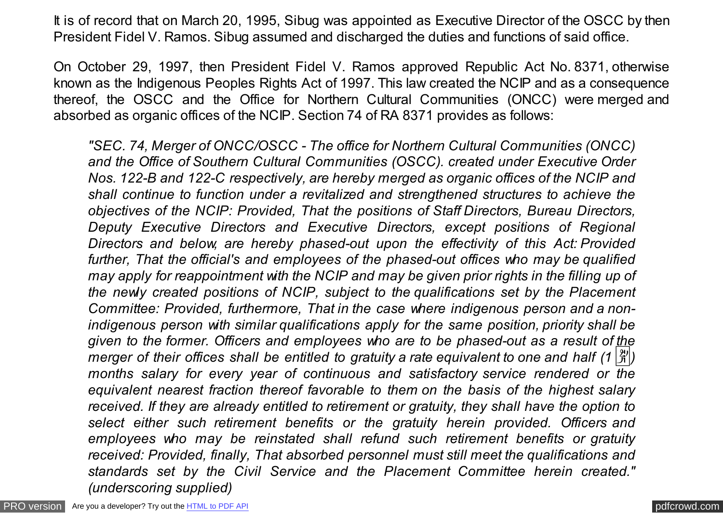It is of record that on March 20, 1995, Sibug was appointed as Executive Director of the OSCC by then President Fidel V. Ramos. Sibug assumed and discharged the duties and functions of said office.

On October 29, 1997, then President Fidel V. Ramos approved Republic Act No. 8371, otherwise known as the Indigenous Peoples Rights Act of 1997. This law created the NCIP and as a consequence thereof, the OSCC and the Office for Northern Cultural Communities (ONCC) were merged and absorbed as organic offices of the NCIP. Section 74 of RA 8371 provides as follows:

*"SEC. 74, Merger of ONCC/OSCC - The office for Northern Cultural Communities (ONCC) and the Office of Southern Cultural Communities (OSCC). created under Executive Order Nos. 122-B and 122-C respectively, are hereby merged as organic offices of the NCIP and shall continue to function under a revitalized and strengthened structures to achieve the objectives of the NCIP: Provided, That the positions of Staff Directors, Bureau Directors, Deputy Executive Directors and Executive Directors, except positions of Regional Directors and below, are hereby phased-out upon the effectivity of this Act: Provided further, That the official's and employees of the phased-out offices who may be qualified may apply for reappointment with the NCIP and may be given prior rights in the filling up of the newly created positions of NCIP, subject to the qualifications set by the Placement Committee: Provided, furthermore, That in the case where indigenous person and a nonindigenous person with similar qualifications apply for the same position, priority shall be given to the former. Officers and employees who are to be phased-out as a result of the merger of their offices shall be entitled to gratuity a rate equivalent to one and half*  $(1 \frac{8}{8})$ *months salary for every year of continuous and satisfactory service rendered or the equivalent nearest fraction thereof favorable to them on the basis of the highest salary received. If they are already entitled to retirement or gratuity, they shall have the option to select either such retirement benefits or the gratuity herein provided. Officers and employees who may be reinstated shall refund such retirement benefits or gratuity received: Provided, finally, That absorbed personnel must still meet the qualifications and standards set by the Civil Service and the Placement Committee herein created." (underscoring supplied)*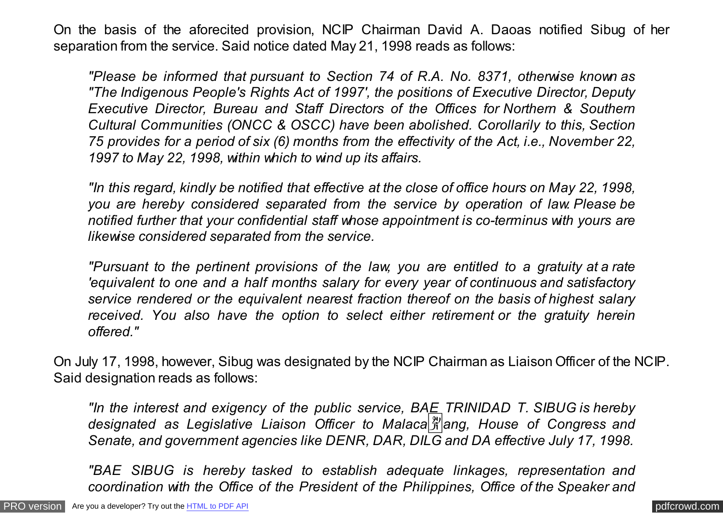On the basis of the aforecited provision, NCIP Chairman David A. Daoas notified Sibug of her separation from the service. Said notice dated May 21, 1998 reads as follows:

*"Please be informed that pursuant to Section 74 of R.A. No. 8371, otherwise known as "The Indigenous People's Rights Act of 1997', the positions of Executive Director, Deputy Executive Director, Bureau and Staff Directors of the Offices for Northern & Southern Cultural Communities (ONCC & OSCC) have been abolished. Corollarily to this, Section 75 provides for a period of six (6) months from the effectivity of the Act, i.e., November 22, 1997 to May 22, 1998, within which to wind up its affairs.*

*"In this regard, kindly be notified that effective at the close of office hours on May 22, 1998, you are hereby considered separated from the service by operation of law. Please be notified further that your confidential staff whose appointment is co-terminus with yours are likewise considered separated from the service.*

*"Pursuant to the pertinent provisions of the law, you are entitled to a gratuity at a rate 'equivalent to one and a half months salary for every year of continuous and satisfactory service rendered or the equivalent nearest fraction thereof on the basis of highest salary received. You also have the option to select either retirement or the gratuity herein offered."*

On July 17, 1998, however, Sibug was designated by the NCIP Chairman as Liaison Officer of the NCIP. Said designation reads as follows:

*"In the interest and exigency of the public service, BAE TRINIDAD T. SIBUG is hereby designated as Legislative Liaison Officer to Malaca*�*ang, House of Congress and Senate, and government agencies like DENR, DAR, DILG and DA effective July 17, 1998.*

*"BAE SIBUG is hereby tasked to establish adequate linkages, representation and coordination with the Office of the President of the Philippines, Office of the Speaker and*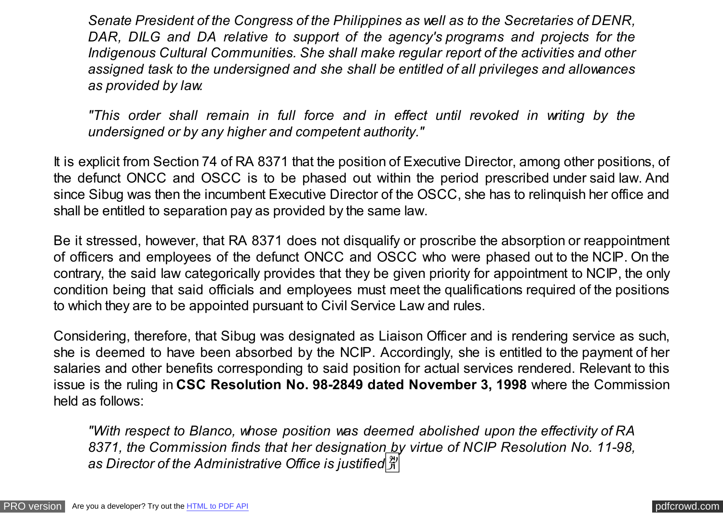*Senate President of the Congress of the Philippines as well as to the Secretaries of DENR, DAR, DILG and DA relative to support of the agency's programs and projects for the Indigenous Cultural Communities. She shall make regular report of the activities and other assigned task to the undersigned and she shall be entitled of all privileges and allowances as provided by law.*

*"This order shall remain in full force and in effect until revoked in writing by the undersigned or by any higher and competent authority."*

It is explicit from Section 74 of RA 8371 that the position of Executive Director, among other positions, of the defunct ONCC and OSCC is to be phased out within the period prescribed under said law. And since Sibug was then the incumbent Executive Director of the OSCC, she has to relinquish her office and shall be entitled to separation pay as provided by the same law.

Be it stressed, however, that RA 8371 does not disqualify or proscribe the absorption or reappointment of officers and employees of the defunct ONCC and OSCC who were phased out to the NCIP. On the contrary, the said law categorically provides that they be given priority for appointment to NCIP, the only condition being that said officials and employees must meet the qualifications required of the positions to which they are to be appointed pursuant to Civil Service Law and rules.

Considering, therefore, that Sibug was designated as Liaison Officer and is rendering service as such, she is deemed to have been absorbed by the NCIP. Accordingly, she is entitled to the payment of her salaries and other benefits corresponding to said position for actual services rendered. Relevant to this issue is the ruling in **CSC Resolution No. 98-2849 dated November 3, 1998** where the Commission held as follows:

*"With respect to Blanco, whose position was deemed abolished upon the effectivity of RA 8371, the Commission finds that her designation by virtue of NCIP Resolution No. 11-98, as Director of the Administrative Office is justified*�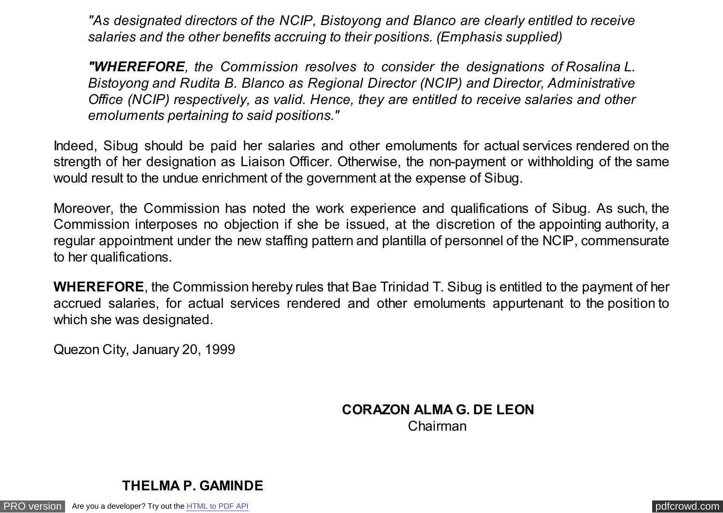*"As designated directors of the NCIP, Bistoyong and Blanco are clearly entitled to receive salaries and the other benefits accruing to their positions. (Emphasis supplied)*

*"WHEREFORE, the Commission resolves to consider the designations of Rosalina L. Bistoyong and Rudita B. Blanco as Regional Director (NCIP) and Director, Administrative Office (NCIP) respectively, as valid. Hence, they are entitled to receive salaries and other emoluments pertaining to said positions."*

Indeed, Sibug should be paid her salaries and other emoluments for actual services rendered on the strength of her designation as Liaison Officer. Otherwise, the non-payment or withholding of the same would result to the undue enrichment of the government at the expense of Sibug.

Moreover, the Commission has noted the work experience and qualifications of Sibug. As such, the Commission interposes no objection if she be issued, at the discretion of the appointing authority, a regular appointment under the new staffing pattern and plantilla of personnel of the NCIP, commensurate to her qualifications.

**WHEREFORE**, the Commission hereby rules that Bae Trinidad T. Sibug is entitled to the payment of her accrued salaries, for actual services rendered and other emoluments appurtenant to the position to which she was designated.

Quezon City, January 20, 1999

## **CORAZON ALMA G. DE LEON** Chairman

**THELMA P. GAMINDE** 

[PRO version](http://pdfcrowd.com/customize/) Are you a developer? Try out th[e HTML to PDF API](http://pdfcrowd.com/html-to-pdf-api/?ref=pdf) contract the CHTML of PDF API [pdfcrowd.com](http://pdfcrowd.com)